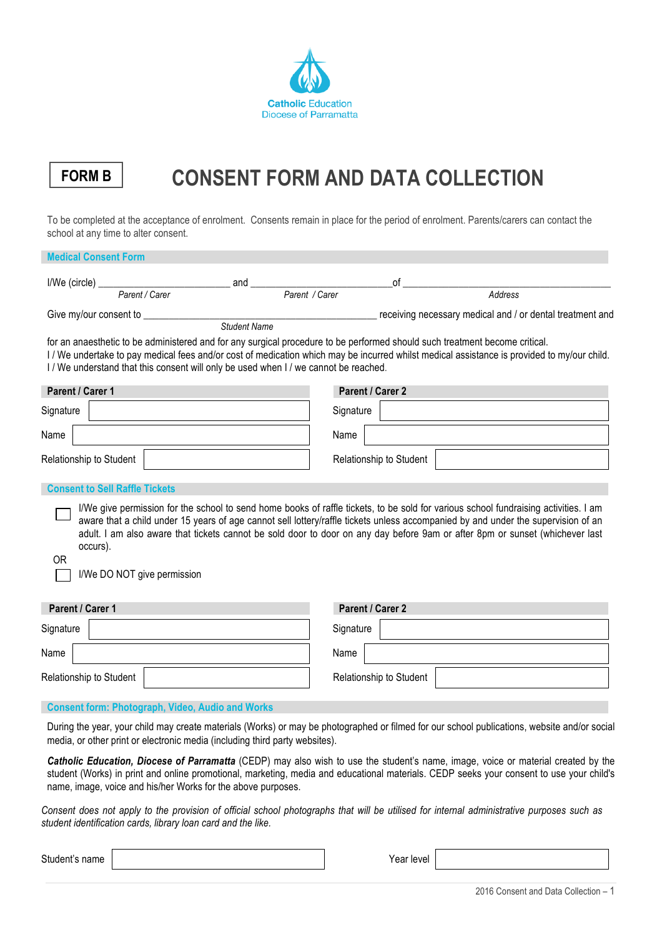

# **FORM B CONSENT FORM AND DATA COLLECTION**

To be completed at the acceptance of enrolment. Consents remain in place for the period of enrolment. Parents/carers can contact the school at any time to alter consent.

| <b>Medical Consent Form</b>                               |                                                                                      |                                                                                                                                                                                                                                                                                                                                                                                                           |  |
|-----------------------------------------------------------|--------------------------------------------------------------------------------------|-----------------------------------------------------------------------------------------------------------------------------------------------------------------------------------------------------------------------------------------------------------------------------------------------------------------------------------------------------------------------------------------------------------|--|
| I/We (circle) Parent / Carer                              | and Parent / Carer                                                                   | of                                                                                                                                                                                                                                                                                                                                                                                                        |  |
|                                                           |                                                                                      | Address                                                                                                                                                                                                                                                                                                                                                                                                   |  |
| Give my/our consent to _____                              | <b>Student Name</b>                                                                  | receiving necessary medical and / or dental treatment and                                                                                                                                                                                                                                                                                                                                                 |  |
|                                                           | I / We understand that this consent will only be used when I / we cannot be reached. | for an anaesthetic to be administered and for any surgical procedure to be performed should such treatment become critical.<br>I / We undertake to pay medical fees and/or cost of medication which may be incurred whilst medical assistance is provided to my/our child.                                                                                                                                |  |
| Parent / Carer 1                                          |                                                                                      | Parent / Carer 2                                                                                                                                                                                                                                                                                                                                                                                          |  |
| Signature                                                 |                                                                                      | Signature                                                                                                                                                                                                                                                                                                                                                                                                 |  |
| Name                                                      |                                                                                      | Name                                                                                                                                                                                                                                                                                                                                                                                                      |  |
| Relationship to Student                                   |                                                                                      | Relationship to Student                                                                                                                                                                                                                                                                                                                                                                                   |  |
| <b>Consent to Sell Raffle Tickets</b>                     |                                                                                      |                                                                                                                                                                                                                                                                                                                                                                                                           |  |
| occurs).<br>0 <sub>R</sub><br>I/We DO NOT give permission |                                                                                      | I/We give permission for the school to send home books of raffle tickets, to be sold for various school fundraising activities. I am<br>aware that a child under 15 years of age cannot sell lottery/raffle tickets unless accompanied by and under the supervision of an<br>adult. I am also aware that tickets cannot be sold door to door on any day before 9am or after 8pm or sunset (whichever last |  |
| Parent / Carer 1                                          |                                                                                      | Parent / Carer 2                                                                                                                                                                                                                                                                                                                                                                                          |  |
| Signature                                                 |                                                                                      | Signature                                                                                                                                                                                                                                                                                                                                                                                                 |  |
| Name                                                      |                                                                                      | Name                                                                                                                                                                                                                                                                                                                                                                                                      |  |
| Relationship to Student                                   |                                                                                      | Relationship to Student                                                                                                                                                                                                                                                                                                                                                                                   |  |
|                                                           |                                                                                      |                                                                                                                                                                                                                                                                                                                                                                                                           |  |

### **Consent form: Photograph, Video, Audio and Works**

During the year, your child may create materials (Works) or may be photographed or filmed for our school publications, website and/or social media, or other print or electronic media (including third party websites).

*Catholic Education, Diocese of Parramatta* (CEDP) may also wish to use the student's name, image, voice or material created by the student (Works) in print and online promotional, marketing, media and educational materials. CEDP seeks your consent to use your child's name, image, voice and his/her Works for the above purposes.

*Consent does not apply to the provision of official school photographs that will be utilised for internal administrative purposes such as student identification cards, library loan card and the like.*

Student's name year and the Student's name year level and the Student's name year level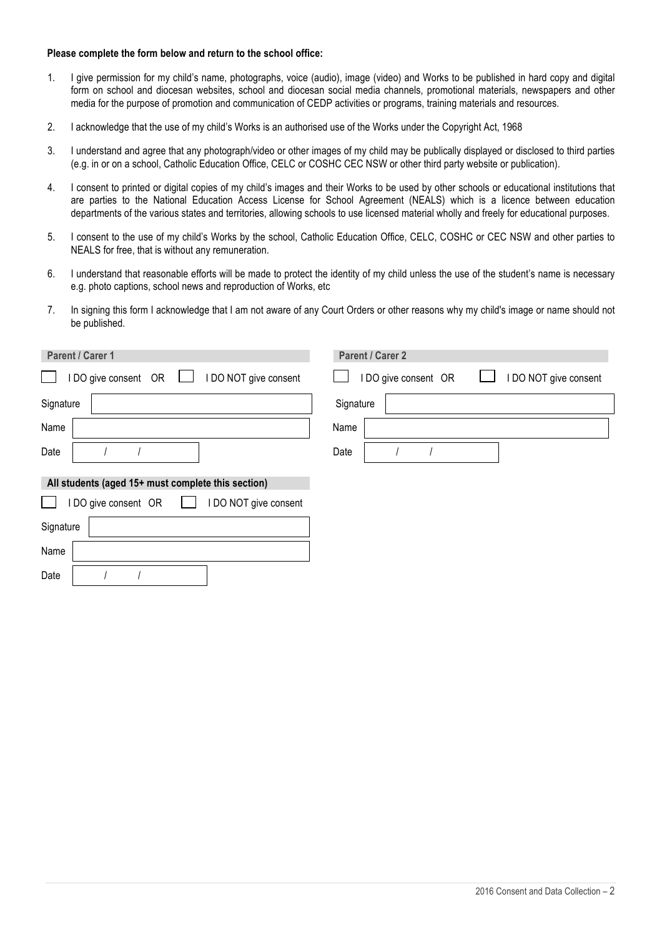#### **Please complete the form below and return to the school office:**

- 1. I give permission for my child's name, photographs, voice (audio), image (video) and Works to be published in hard copy and digital form on school and diocesan websites, school and diocesan social media channels, promotional materials, newspapers and other media for the purpose of promotion and communication of CEDP activities or programs, training materials and resources.
- 2. I acknowledge that the use of my child's Works is an authorised use of the Works under the Copyright Act, 1968
- 3. I understand and agree that any photograph/video or other images of my child may be publically displayed or disclosed to third parties (e.g. in or on a school, Catholic Education Office, CELC or COSHC CEC NSW or other third party website or publication).
- 4. I consent to printed or digital copies of my child's images and their Works to be used by other schools or educational institutions that are parties to the National Education Access License for School Agreement (NEALS) which is a licence between education departments of the various states and territories, allowing schools to use licensed material wholly and freely for educational purposes.
- 5. I consent to the use of my child's Works by the school, Catholic Education Office, CELC, COSHC or CEC NSW and other parties to NEALS for free, that is without any remuneration.
- 6. I understand that reasonable efforts will be made to protect the identity of my child unless the use of the student's name is necessary e.g. photo captions, school news and reproduction of Works, etc
- 7. In signing this form I acknowledge that I am not aware of any Court Orders or other reasons why my child's image or name should not be published.

| Parent / Carer 1                                   | Parent / Carer 2                              |  |  |  |
|----------------------------------------------------|-----------------------------------------------|--|--|--|
| I DO give consent OR □<br>I DO NOT give consent    | I DO give consent OR<br>I DO NOT give consent |  |  |  |
| Signature                                          | Signature                                     |  |  |  |
| Name                                               | Name                                          |  |  |  |
| Date                                               | Date                                          |  |  |  |
| All students (aged 15+ must complete this section) |                                               |  |  |  |
| I DO NOT give consent<br>I DO give consent OR      |                                               |  |  |  |
| Signature                                          |                                               |  |  |  |
| Name                                               |                                               |  |  |  |
| Date                                               |                                               |  |  |  |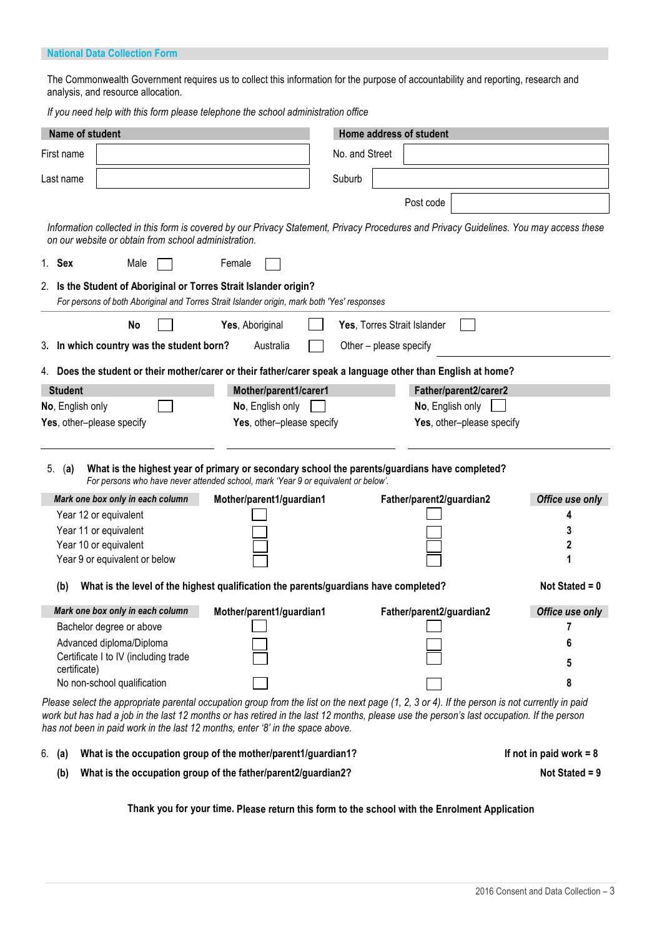### **National Data Collection Form**

The Commonwealth Government requires us to collect this information for the purpose of accountability and reporting, research and analysis, and resource allocation.

*If you need help with this form please telephone the school administration office*

| Name of student                                                                                                                                                                                                                                                                                                                                                              |                           | Home address of student     |                                |  |  |  |  |
|------------------------------------------------------------------------------------------------------------------------------------------------------------------------------------------------------------------------------------------------------------------------------------------------------------------------------------------------------------------------------|---------------------------|-----------------------------|--------------------------------|--|--|--|--|
| First name                                                                                                                                                                                                                                                                                                                                                                   | No. and Street            |                             |                                |  |  |  |  |
| Last name                                                                                                                                                                                                                                                                                                                                                                    | Suburb                    |                             |                                |  |  |  |  |
|                                                                                                                                                                                                                                                                                                                                                                              |                           | Post code                   |                                |  |  |  |  |
| Information collected in this form is covered by our Privacy Statement, Privacy Procedures and Privacy Guidelines. You may access these<br>on our website or obtain from school administration.                                                                                                                                                                              |                           |                             |                                |  |  |  |  |
| 1. Sex<br>Male<br>Female                                                                                                                                                                                                                                                                                                                                                     |                           |                             |                                |  |  |  |  |
| 2. Is the Student of Aboriginal or Torres Strait Islander origin?<br>For persons of both Aboriginal and Torres Strait Islander origin, mark both 'Yes' responses                                                                                                                                                                                                             |                           |                             |                                |  |  |  |  |
| No<br>Yes, Aboriginal                                                                                                                                                                                                                                                                                                                                                        |                           | Yes, Torres Strait Islander |                                |  |  |  |  |
| 3. In which country was the student born?                                                                                                                                                                                                                                                                                                                                    | Australia                 | Other - please specify      |                                |  |  |  |  |
| 4. Does the student or their mother/carer or their father/carer speak a language other than English at home?                                                                                                                                                                                                                                                                 |                           |                             |                                |  |  |  |  |
| <b>Student</b>                                                                                                                                                                                                                                                                                                                                                               | Mother/parent1/carer1     | Father/parent2/carer2       |                                |  |  |  |  |
| No, English only                                                                                                                                                                                                                                                                                                                                                             | No, English only          | No, English only            |                                |  |  |  |  |
| Yes, other-please specify                                                                                                                                                                                                                                                                                                                                                    | Yes, other-please specify | Yes, other-please specify   |                                |  |  |  |  |
| What is the highest year of primary or secondary school the parents/guardians have completed?<br>5.<br>(a)<br>For persons who have never attended school, mark 'Year 9 or equivalent or below'.<br>Mark one box only in each column<br>Year 12 or equivalent<br>Year 11 or equivalent<br>Year 10 or equivalent<br>Year 9 or equivalent or below                              | Mother/parent1/guardian1  | Father/parent2/guardian2    | Office use only<br>4<br>3<br>2 |  |  |  |  |
| What is the level of the highest qualification the parents/guardians have completed?<br>Not Stated = $0$<br>(b)                                                                                                                                                                                                                                                              |                           |                             |                                |  |  |  |  |
| Mark one box only in each column                                                                                                                                                                                                                                                                                                                                             | Mother/parent1/guardian1  | Father/parent2/guardian2    | Office use only                |  |  |  |  |
| Bachelor degree or above                                                                                                                                                                                                                                                                                                                                                     |                           |                             |                                |  |  |  |  |
| Advanced diploma/Diploma<br>Certificate I to IV (including trade<br>certificate)                                                                                                                                                                                                                                                                                             |                           |                             | 6<br>5                         |  |  |  |  |
| No non-school qualification                                                                                                                                                                                                                                                                                                                                                  |                           |                             | 8                              |  |  |  |  |
| Please select the appropriate parental occupation group from the list on the next page (1, 2, 3 or 4). If the person is not currently in paid<br>work but has had a job in the last 12 months or has retired in the last 12 months, please use the person's last occupation. If the person<br>has not been in paid work in the last 12 months, enter '8' in the space above. |                           |                             |                                |  |  |  |  |

| 6. <b>(a)</b> | What is the occupation group of the mother/parent1/guardian1? |  |
|---------------|---------------------------------------------------------------|--|
|               |                                                               |  |

(b) What is the occupation group of the father/parent2/guardian2? Not Stated = 9

**Thank you for your time. Please return this form to the school with the Enrolment Application**

**If not in paid work = 8**